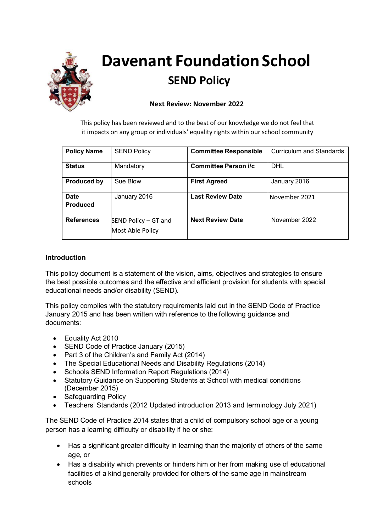

# **Davenant Foundation School SEND Policy**

## **Next Review: November 2022**

This policy has been reviewed and to the best of our knowledge we do not feel that it impacts on any group or individuals' equality rights within our school community

| <b>Policy Name</b>             | <b>SEND Policy</b>                       | <b>Committee Responsible</b> | <b>Curriculum and Standards</b> |
|--------------------------------|------------------------------------------|------------------------------|---------------------------------|
| <b>Status</b>                  | Mandatory                                | Committee Person i/c         | <b>DHL</b>                      |
| <b>Produced by</b>             | Sue Blow                                 | <b>First Agreed</b>          | January 2016                    |
| <b>Date</b><br><b>Produced</b> | January 2016                             | <b>Last Review Date</b>      | November 2021                   |
| <b>References</b>              | SEND Policy - GT and<br>Most Able Policy | <b>Next Review Date</b>      | November 2022                   |

#### **Introduction**

This policy document is a statement of the vision, aims, objectives and strategies to ensure the best possible outcomes and the effective and efficient provision for students with special educational needs and/or disability (SEND).

This policy complies with the statutory requirements laid out in the SEND Code of Practice January 2015 and has been written with reference to the following guidance and documents:

- Equality Act 2010
- SEND Code of Practice January (2015)
- Part 3 of the Children's and Family Act (2014)
- The Special Educational Needs and Disability Regulations (2014)
- Schools SEND Information Report Regulations (2014)
- Statutory Guidance on Supporting Students at School with medical conditions (December 2015)
- Safeguarding Policy
- Teachers' Standards (2012 Updated introduction 2013 and terminology July 2021)

The SEND Code of Practice 2014 states that a child of compulsory school age or a young person has a learning difficulty or disability if he or she:

- Has a significant greater difficulty in learning than the majority of others of the same age, or
- Has a disability which prevents or hinders him or her from making use of educational facilities of a kind generally provided for others of the same age in mainstream schools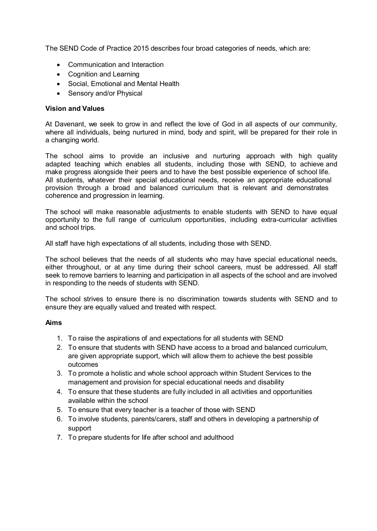The SEND Code of Practice 2015 describes four broad categories of needs, which are:

- Communication and Interaction
- Cognition and Learning
- Social, Emotional and Mental Health
- Sensory and/or Physical

#### **Vision and Values**

At Davenant, we seek to grow in and reflect the love of God in all aspects of our community, where all individuals, being nurtured in mind, body and spirit, will be prepared for their role in a changing world.

The school aims to provide an inclusive and nurturing approach with high quality adapted teaching which enables all students, including those with SEND, to achieve and make progress alongside their peers and to have the best possible experience of school life. All students, whatever their special educational needs, receive an appropriate educational provision through a broad and balanced curriculum that is relevant and demonstrates coherence and progression in learning.

The school will make reasonable adjustments to enable students with SEND to have equal opportunity to the full range of curriculum opportunities, including extra-curricular activities and school trips.

All staff have high expectations of all students, including those with SEND.

The school believes that the needs of all students who may have special educational needs, either throughout, or at any time during their school careers, must be addressed. All staff seek to remove barriers to learning and participation in all aspects of the school and are involved in responding to the needs of students with SEND.

The school strives to ensure there is no discrimination towards students with SEND and to ensure they are equally valued and treated with respect.

#### **Aims**

- 1. To raise the aspirations of and expectations for all students with SEND
- 2. To ensure that students with SEND have access to a broad and balanced curriculum, are given appropriate support, which will allow them to achieve the best possible outcomes
- 3. To promote a holistic and whole school approach within Student Services to the management and provision for special educational needs and disability
- 4. To ensure that these students are fully included in all activities and opportunities available within the school
- 5. To ensure that every teacher is a teacher of those with SEND
- 6. To involve students, parents/carers, staff and others in developing a partnership of support
- 7. To prepare students for life after school and adulthood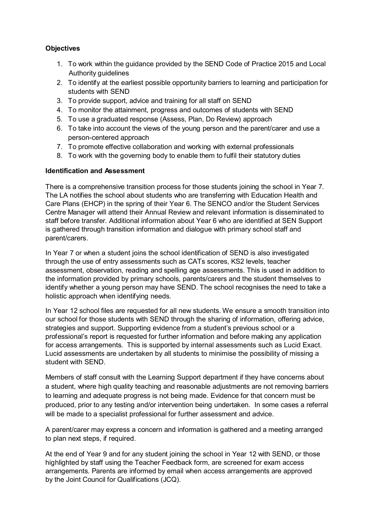# **Objectives**

- 1. To work within the guidance provided by the SEND Code of Practice 2015 and Local Authority guidelines
- 2. To identify at the earliest possible opportunity barriers to learning and participation for students with SEND
- 3. To provide support, advice and training for all staff on SEND
- 4. To monitor the attainment, progress and outcomes of students with SEND
- 5. To use a graduated response (Assess, Plan, Do Review) approach
- 6. To take into account the views of the young person and the parent/carer and use a person-centered approach
- 7. To promote effective collaboration and working with external professionals
- 8. To work with the governing body to enable them to fulfil their statutory duties

#### **Identification and Assessment**

There is a comprehensive transition process for those students joining the school in Year 7. The LA notifies the school about students who are transferring with Education Health and Care Plans (EHCP) in the spring of their Year 6. The SENCO and/or the Student Services Centre Manager will attend their Annual Review and relevant information is disseminated to staff before transfer. Additional information about Year 6 who are identified at SEN Support is gathered through transition information and dialogue with primary school staff and parent/carers.

In Year 7 or when a student joins the school identification of SEND is also investigated through the use of entry assessments such as CATs scores, KS2 levels, teacher assessment, observation, reading and spelling age assessments. This is used in addition to the information provided by primary schools, parents/carers and the student themselves to identify whether a young person may have SEND. The school recognises the need to take a holistic approach when identifying needs.

In Year 12 school files are requested for all new students. We ensure a smooth transition into our school for those students with SEND through the sharing of information, offering advice, strategies and support. Supporting evidence from a student's previous school or a professional's report is requested for further information and before making any application for access arrangements. This is supported by internal assessments such as Lucid Exact. Lucid assessments are undertaken by all students to minimise the possibility of missing a student with SEND.

Members of staff consult with the Learning Support department if they have concerns about a student, where high quality teaching and reasonable adjustments are not removing barriers to learning and adequate progress is not being made. Evidence for that concern must be produced, prior to any testing and/or intervention being undertaken. In some cases a referral will be made to a specialist professional for further assessment and advice.

A parent/carer may express a concern and information is gathered and a meeting arranged to plan next steps, if required.

At the end of Year 9 and for any student joining the school in Year 12 with SEND, or those highlighted by staff using the Teacher Feedback form, are screened for exam access arrangements. Parents are informed by email when access arrangements are approved by the Joint Council for Qualifications (JCQ).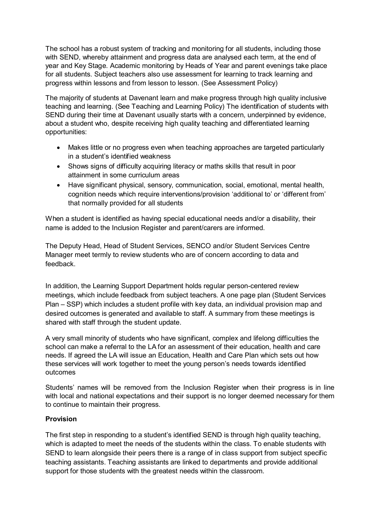The school has a robust system of tracking and monitoring for all students, including those with SEND, whereby attainment and progress data are analysed each term, at the end of year and Key Stage. Academic monitoring by Heads of Year and parent evenings take place for all students. Subject teachers also use assessment for learning to track learning and progress within lessons and from lesson to lesson. (See Assessment Policy)

The majority of students at Davenant learn and make progress through high quality inclusive teaching and learning. (See Teaching and Learning Policy) The identification of students with SEND during their time at Davenant usually starts with a concern, underpinned by evidence, about a student who, despite receiving high quality teaching and differentiated learning opportunities:

- Makes little or no progress even when teaching approaches are targeted particularly in a student's identified weakness
- Shows signs of difficulty acquiring literacy or maths skills that result in poor attainment in some curriculum areas
- Have significant physical, sensory, communication, social, emotional, mental health, cognition needs which require interventions/provision 'additional to' or 'different from' that normally provided for all students

When a student is identified as having special educational needs and/or a disability, their name is added to the Inclusion Register and parent/carers are informed.

The Deputy Head, Head of Student Services, SENCO and/or Student Services Centre Manager meet termly to review students who are of concern according to data and feedback.

In addition, the Learning Support Department holds regular person-centered review meetings, which include feedback from subject teachers. A one page plan (Student Services Plan – SSP) which includes a student profile with key data, an individual provision map and desired outcomes is generated and available to staff. A summary from these meetings is shared with staff through the student update.

A very small minority of students who have significant, complex and lifelong difficulties the school can make a referral to the LA for an assessment of their education, health and care needs. If agreed the LA will issue an Education, Health and Care Plan which sets out how these services will work together to meet the young person's needs towards identified outcomes

Students' names will be removed from the Inclusion Register when their progress is in line with local and national expectations and their support is no longer deemed necessary for them to continue to maintain their progress.

# **Provision**

The first step in responding to a student's identified SEND is through high quality teaching, which is adapted to meet the needs of the students within the class. To enable students with SEND to learn alongside their peers there is a range of in class support from subject specific teaching assistants. Teaching assistants are linked to departments and provide additional support for those students with the greatest needs within the classroom.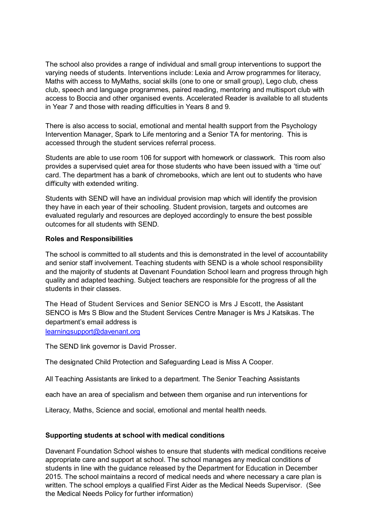The school also provides a range of individual and small group interventions to support the varying needs of students. Interventions include: Lexia and Arrow programmes for literacy, Maths with access to MyMaths, social skills (one to one or small group), Lego club, chess club, speech and language programmes, paired reading, mentoring and multisport club with access to Boccia and other organised events. Accelerated Reader is available to all students in Year 7 and those with reading difficulties in Years 8 and 9.

There is also access to social, emotional and mental health support from the Psychology Intervention Manager, Spark to Life mentoring and a Senior TA for mentoring. This is accessed through the student services referral process.

Students are able to use room 106 for support with homework or classwork. This room also provides a supervised quiet area for those students who have been issued with a 'time out' card. The department has a bank of chromebooks, which are lent out to students who have difficulty with extended writing.

Students with SEND will have an individual provision map which will identify the provision they have in each year of their schooling. Student provision, targets and outcomes are evaluated regularly and resources are deployed accordingly to ensure the best possible outcomes for all students with SEND.

#### **Roles and Responsibilities**

The school is committed to all students and this is demonstrated in the level of accountability and senior staff involvement. Teaching students with SEND is a whole school responsibility and the majority of students at Davenant Foundation School learn and progress through high quality and adapted teaching. Subject teachers are responsible for the progress of all the students in their classes.

The Head of Student Services and Senior SENCO is Mrs J Escott, the Assistant SENCO is Mrs S Blow and the Student Services Centre Manager is Mrs J Katsikas. The department's email address is [learningsupport@davenant.org](mailto:learningsupport@davenant.org)

The SEND link governor is David Prosser.

The designated Child Protection and Safeguarding Lead is Miss A Cooper.

All Teaching Assistants are linked to a department. The Senior Teaching Assistants

each have an area of specialism and between them organise and run interventions for

Literacy, Maths, Science and social, emotional and mental health needs.

#### **Supporting students at school with medical conditions**

Davenant Foundation School wishes to ensure that students with medical conditions receive appropriate care and support at school. The school manages any medical conditions of students in line with the guidance released by the Department for Education in December 2015. The school maintains a record of medical needs and where necessary a care plan is written. The school employs a qualified First Aider as the Medical Needs Supervisor. (See the Medical Needs Policy for further information)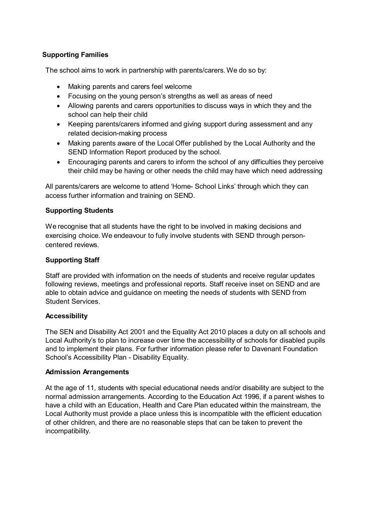# **Supporting Families**

The school aims to work in partnership with parents/carers. We do so by:

- Making parents and carers feel welcome
- Focusing on the young person's strengths as well as areas of need
- Allowing parents and carers opportunities to discuss ways in which they and the school can help their child
- Keeping parents/carers informed and giving support during assessment and any related decision-making process
- Making parents aware of the Local Offer published by the Local Authority and the SEND Information Report produced by the school.
- Encouraging parents and carers to inform the school of any difficulties they perceive their child may be having or other needs the child may have which need addressing

All parents/carers are welcome to attend 'Home- School Links' through which they can access further information and training on SEND.

## **Supporting Students**

We recognise that all students have the right to be involved in making decisions and exercising choice. We endeavour to fully involve students with SEND through personcentered reviews.

## **Supporting Staff**

Staff are provided with information on the needs of students and receive regular updates following reviews, meetings and professional reports. Staff receive inset on SEND and are able to obtain advice and guidance on meeting the needs of students with SEND from Student Services.

#### **Accessibility**

The SEN and Disability Act 2001 and the Equality Act 2010 places a duty on all schools and Local Authority's to plan to increase over time the accessibility of schools for disabled pupils and to implement their plans. For further information please refer to Davenant Foundation School's Accessibility Plan - Disability Equality.

#### **Admission Arrangements**

At the age of 11, students with special educational needs and/or disability are subject to the normal admission arrangements. According to the Education Act 1996, if a parent wishes to have a child with an Education, Health and Care Plan educated within the mainstream, the Local Authority must provide a place unless this is incompatible with the efficient education of other children, and there are no reasonable steps that can be taken to prevent the incompatibility.